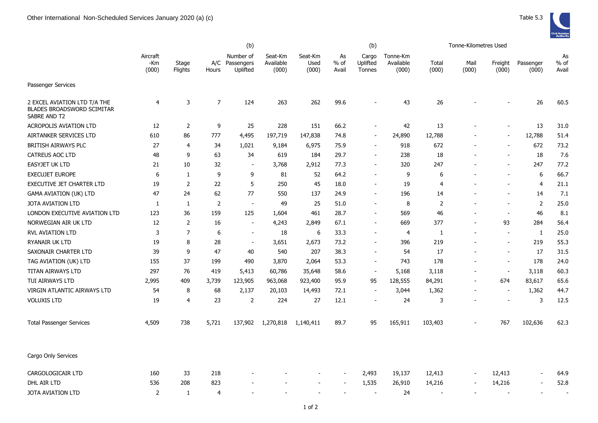|                                                                                   | (b)                      |                  |                |                                     |                               |                          |                       | (b)                         |                                |                | Tonne-Kilometres Used    |                          |                    |                       |
|-----------------------------------------------------------------------------------|--------------------------|------------------|----------------|-------------------------------------|-------------------------------|--------------------------|-----------------------|-----------------------------|--------------------------------|----------------|--------------------------|--------------------------|--------------------|-----------------------|
|                                                                                   | Aircraft<br>-Km<br>(000) | Stage<br>Flights | A/C<br>Hours   | Number of<br>Passengers<br>Uplifted | Seat-Km<br>Available<br>(000) | Seat-Km<br>Used<br>(000) | As<br>$%$ of<br>Avail | Cargo<br>Uplifted<br>Tonnes | Tonne-Km<br>Available<br>(000) | Total<br>(000) | Mail<br>(000)            | Freight<br>(000)         | Passenger<br>(000) | As<br>$%$ of<br>Avail |
| Passenger Services                                                                |                          |                  |                |                                     |                               |                          |                       |                             |                                |                |                          |                          |                    |                       |
| 2 EXCEL AVIATION LTD T/A THE<br><b>BLADES BROADSWORD SCIMITAR</b><br>SABRE AND T2 | 4                        | 3                | $\overline{7}$ | 124                                 | 263                           | 262                      | 99.6                  |                             | 43                             | 26             |                          |                          | 26                 | 60.5                  |
| <b>ACROPOLIS AVIATION LTD</b>                                                     | 12                       | 2                | 9              | 25                                  | 228                           | 151                      | 66.2                  |                             | 42                             | 13             |                          |                          | 13                 | 31.0                  |
| AIRTANKER SERVICES LTD                                                            | 610                      | 86               | 777            | 4,495                               | 197,719                       | 147,838                  | 74.8                  | $\overline{\phantom{a}}$    | 24,890                         | 12,788         |                          | ÷,                       | 12,788             | 51.4                  |
| <b>BRITISH AIRWAYS PLC</b>                                                        | 27                       | $\overline{4}$   | 34             | 1,021                               | 9,184                         | 6,975                    | 75.9                  | $\overline{\phantom{a}}$    | 918                            | 672            |                          |                          | 672                | 73.2                  |
| <b>CATREUS AOC LTD</b>                                                            | 48                       | 9                | 63             | 34                                  | 619                           | 184                      | 29.7                  |                             | 238                            | 18             |                          |                          | 18                 | 7.6                   |
| <b>EASYJET UK LTD</b>                                                             | 21                       | 10               | 32             | $\blacksquare$                      | 3,768                         | 2,912                    | 77.3                  | $\overline{\phantom{a}}$    | 320                            | 247            |                          |                          | 247                | 77.2                  |
| <b>EXECUJET EUROPE</b>                                                            | 6                        | 1                | 9              | 9                                   | 81                            | 52                       | 64.2                  | $\overline{\phantom{a}}$    | 9                              | 6              |                          |                          | 6                  | 66.7                  |
| <b>EXECUTIVE JET CHARTER LTD</b>                                                  | 19                       | 2                | 22             | 5                                   | 250                           | 45                       | 18.0                  | $\overline{\phantom{a}}$    | 19                             | 4              |                          |                          | $\overline{4}$     | 21.1                  |
| <b>GAMA AVIATION (UK) LTD</b>                                                     | 47                       | 24               | 62             | 77                                  | 550                           | 137                      | 24.9                  | $\overline{\phantom{a}}$    | 196                            | 14             |                          |                          | 14                 | 7.1                   |
| <b>JOTA AVIATION LTD</b>                                                          | 1                        | 1                | $\overline{2}$ | $\overline{\phantom{a}}$            | 49                            | 25                       | 51.0                  | $\overline{\phantom{a}}$    | 8                              | $\overline{2}$ |                          |                          | 2                  | 25.0                  |
| LONDON EXECUTIVE AVIATION LTD                                                     | 123                      | 36               | 159            | 125                                 | 1,604                         | 461                      | 28.7                  |                             | 569                            | 46             |                          |                          | 46                 | 8.1                   |
| NORWEGIAN AIR UK LTD                                                              | 12                       | $\overline{2}$   | 16             | $\overline{\phantom{a}}$            | 4,243                         | 2,849                    | 67.1                  | $\overline{\phantom{a}}$    | 669                            | 377            |                          | 93                       | 284                | 56.4                  |
| RVL AVIATION LTD                                                                  | 3                        | $\overline{7}$   | 6              | $\blacksquare$                      | 18                            | 6                        | 33.3                  | $\overline{\phantom{a}}$    | $\overline{4}$                 | $\mathbf{1}$   | $\overline{a}$           | ٠                        | 1                  | 25.0                  |
| RYANAIR UK LTD                                                                    | 19                       | 8                | 28             | $\sim$                              | 3,651                         | 2,673                    | 73.2                  | $\sim$                      | 396                            | 219            |                          | ÷,                       | 219                | 55.3                  |
| SAXONAIR CHARTER LTD                                                              | 39                       | 9                | 47             | 40                                  | 540                           | 207                      | 38.3                  | $\blacksquare$              | 54                             | 17             |                          | ٠                        | 17                 | 31.5                  |
| TAG AVIATION (UK) LTD                                                             | 155                      | 37               | 199            | 490                                 | 3,870                         | 2,064                    | 53.3                  | $\overline{\phantom{a}}$    | 743                            | 178            |                          | $\overline{a}$           | 178                | 24.0                  |
| TITAN AIRWAYS LTD                                                                 | 297                      | 76               | 419            | 5,413                               | 60,786                        | 35,648                   | 58.6                  | $\overline{\phantom{a}}$    | 5,168                          | 3,118          |                          | $\overline{\phantom{a}}$ | 3,118              | 60.3                  |
| TUI AIRWAYS LTD                                                                   | 2,995                    | 409              | 3,739          | 123,905                             | 963,068                       | 923,400                  | 95.9                  | 95                          | 128,555                        | 84,291         |                          | 674                      | 83,617             | 65.6                  |
| VIRGIN ATLANTIC AIRWAYS LTD                                                       | 54                       | 8                | 68             | 2,137                               | 20,103                        | 14,493                   | 72.1                  | $\overline{\phantom{a}}$    | 3,044                          | 1,362          |                          | $\sim$                   | 1,362              | 44.7                  |
| <b>VOLUXIS LTD</b>                                                                | 19                       | 4                | 23             | 2                                   | 224                           | 27                       | 12.1                  | $\sim$                      | 24                             | 3              |                          | $\sim$                   | 3                  | 12.5                  |
| <b>Total Passenger Services</b>                                                   | 4,509                    | 738              | 5,721          | 137,902                             | 1,270,818                     | 1,140,411                | 89.7                  | 95                          | 165,911                        | 103,403        |                          | 767                      | 102,636            | 62.3                  |
| Cargo Only Services                                                               |                          |                  |                |                                     |                               |                          |                       |                             |                                |                |                          |                          |                    |                       |
| CARGOLOGICAIR LTD                                                                 | 160                      | 33               | 218            |                                     |                               |                          |                       | 2,493                       | 19,137                         | 12,413         |                          | 12,413                   |                    | 64.9                  |
| DHL AIR LTD                                                                       | 536                      | 208              | 823            |                                     |                               |                          |                       | 1,535                       | 26,910                         | 14,216         |                          | 14,216                   | $\overline{a}$     | 52.8                  |
| JOTA AVIATION LTD                                                                 | $\overline{2}$           | $\mathbf{1}$     | 4              |                                     |                               |                          |                       |                             | 24                             |                | $\overline{\phantom{a}}$ |                          | $\sim$             |                       |